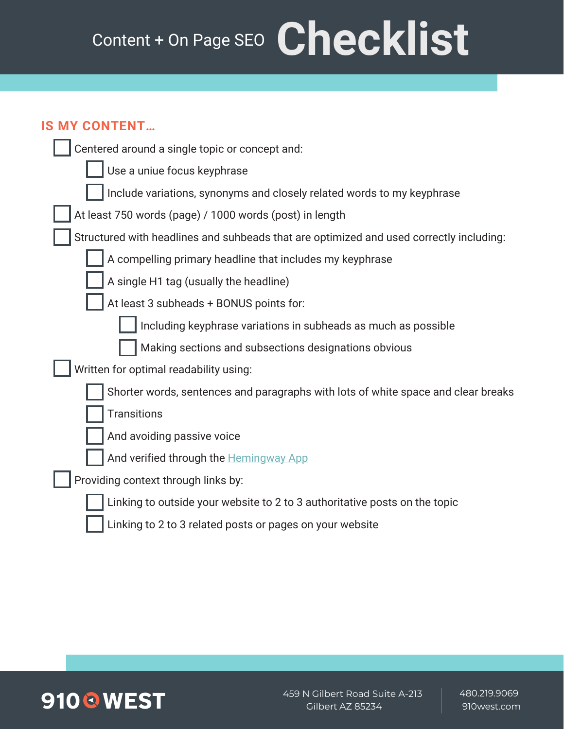# Content + On Page SEO Checklist

#### **IS MY CONTENT…**

| UUIN LIN L                                                                              |
|-----------------------------------------------------------------------------------------|
| Centered around a single topic or concept and:                                          |
| Use a uniue focus keyphrase                                                             |
| Include variations, synonyms and closely related words to my keyphrase                  |
| At least 750 words (page) / 1000 words (post) in length                                 |
| Structured with headlines and suhbeads that are optimized and used correctly including: |
| A compelling primary headline that includes my keyphrase                                |
| A single H1 tag (usually the headline)                                                  |
| At least 3 subheads + BONUS points for:                                                 |
| Including keyphrase variations in subheads as much as possible                          |
| Making sections and subsections designations obvious                                    |
| Written for optimal readability using:                                                  |
| Shorter words, sentences and paragraphs with lots of white space and clear breaks       |
| <b>Transitions</b>                                                                      |
| And avoiding passive voice                                                              |
| And verified through the Hemingway App                                                  |
| Providing context through links by:                                                     |
| Linking to outside your website to 2 to 3 authoritative posts on the topic              |
| Linking to 2 to 3 related posts or pages on your website                                |



459 N Gilbert Road Suite A-213 Gilbert AZ 85234